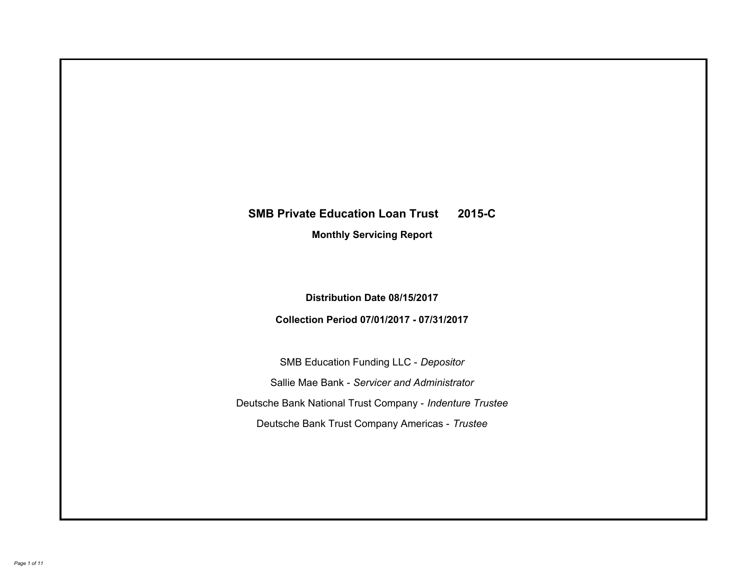# **SMB Private Education Loan Trust 2015-C Monthly Servicing Report**

**Distribution Date 08/15/2017**

**Collection Period 07/01/2017 - 07/31/2017**

SMB Education Funding LLC - *Depositor* Sallie Mae Bank - *Servicer and Administrator* Deutsche Bank National Trust Company - *Indenture Trustee* Deutsche Bank Trust Company Americas - *Trustee*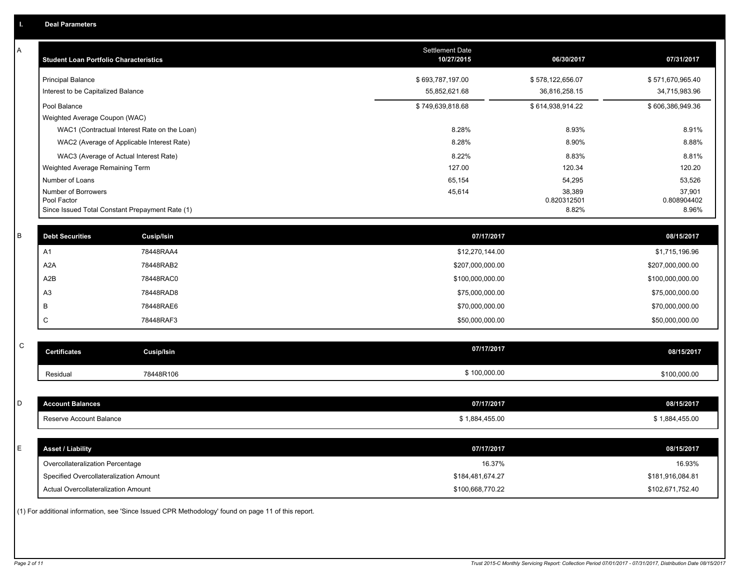| Α           | <b>Student Loan Portfolio Characteristics</b>   |                                                                                                     | <b>Settlement Date</b><br>10/27/2015 | 06/30/2017            | 07/31/2017            |
|-------------|-------------------------------------------------|-----------------------------------------------------------------------------------------------------|--------------------------------------|-----------------------|-----------------------|
|             | <b>Principal Balance</b>                        |                                                                                                     | \$693,787,197.00                     | \$578,122,656.07      | \$571,670,965.40      |
|             | Interest to be Capitalized Balance              |                                                                                                     | 55,852,621.68                        | 36,816,258.15         | 34,715,983.96         |
|             | Pool Balance                                    |                                                                                                     | \$749,639,818.68                     | \$614,938,914.22      | \$606,386,949.36      |
|             | Weighted Average Coupon (WAC)                   |                                                                                                     |                                      |                       |                       |
|             |                                                 | WAC1 (Contractual Interest Rate on the Loan)                                                        | 8.28%                                | 8.93%                 | 8.91%                 |
|             |                                                 | WAC2 (Average of Applicable Interest Rate)                                                          | 8.28%                                | 8.90%                 | 8.88%                 |
|             | WAC3 (Average of Actual Interest Rate)          |                                                                                                     | 8.22%                                | 8.83%                 | 8.81%                 |
|             | Weighted Average Remaining Term                 |                                                                                                     | 127.00                               | 120.34                | 120.20                |
|             | Number of Loans                                 |                                                                                                     | 65,154                               | 54,295                | 53,526                |
|             | Number of Borrowers<br>Pool Factor              |                                                                                                     | 45,614                               | 38,389<br>0.820312501 | 37,901<br>0.808904402 |
|             | Since Issued Total Constant Prepayment Rate (1) |                                                                                                     |                                      | 8.82%                 | 8.96%                 |
|             |                                                 |                                                                                                     |                                      |                       |                       |
| В           | <b>Debt Securities</b>                          | Cusip/Isin                                                                                          | 07/17/2017                           |                       | 08/15/2017            |
|             | A1                                              | 78448RAA4                                                                                           | \$12,270,144.00                      |                       | \$1,715,196.96        |
|             | A <sub>2</sub> A                                | 78448RAB2                                                                                           | \$207,000,000.00                     |                       | \$207,000,000.00      |
|             | A2B                                             | 78448RAC0                                                                                           | \$100,000,000.00                     |                       | \$100,000,000.00      |
|             | A <sub>3</sub>                                  | 78448RAD8                                                                                           | \$75,000,000.00                      |                       | \$75,000,000.00       |
|             | B                                               | 78448RAE6                                                                                           | \$70,000,000.00                      |                       | \$70,000,000.00       |
|             | C                                               | 78448RAF3                                                                                           | \$50,000,000.00                      |                       | \$50,000,000.00       |
|             |                                                 |                                                                                                     |                                      |                       |                       |
| $\mathsf C$ | <b>Certificates</b>                             | Cusip/Isin                                                                                          | 07/17/2017                           |                       | 08/15/2017            |
|             | Residual                                        | 78448R106                                                                                           | \$100,000.00                         |                       | \$100,000.00          |
|             |                                                 |                                                                                                     |                                      |                       |                       |
| D           | <b>Account Balances</b>                         |                                                                                                     | 07/17/2017                           |                       | 08/15/2017            |
|             | Reserve Account Balance                         |                                                                                                     | \$1,884,455.00                       |                       | \$1,884,455.00        |
|             |                                                 |                                                                                                     |                                      |                       |                       |
| E           | <b>Asset / Liability</b>                        |                                                                                                     | 07/17/2017                           |                       | 08/15/2017            |
|             | Overcollateralization Percentage                |                                                                                                     | 16.37%                               |                       | 16.93%                |
|             | Specified Overcollateralization Amount          |                                                                                                     | \$184,481,674.27                     |                       | \$181,916,084.81      |
|             | Actual Overcollateralization Amount             |                                                                                                     | \$100,668,770.22                     |                       | \$102,671,752.40      |
|             |                                                 | (1) For additional information, see 'Since Issued CPR Methodology' found on page 11 of this report. |                                      |                       |                       |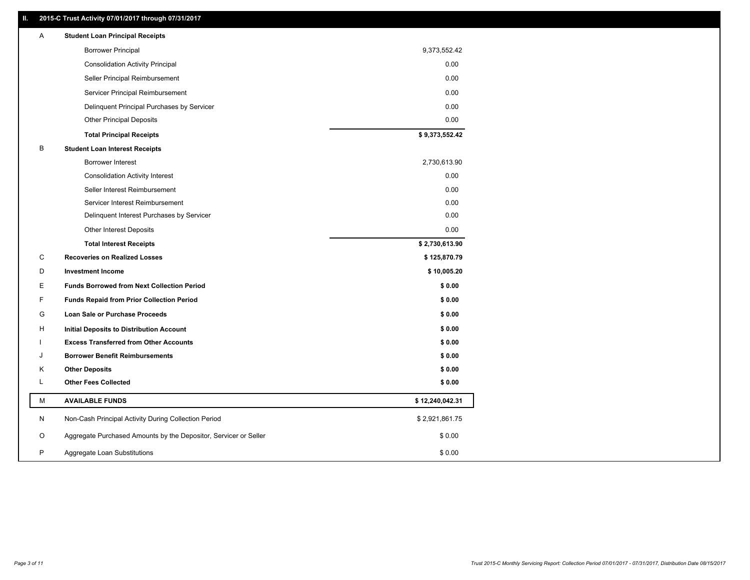## **II. 2015-C Trust Activity 07/01/2017 through 07/31/2017**

| Α  | <b>Student Loan Principal Receipts</b>                           |                 |  |
|----|------------------------------------------------------------------|-----------------|--|
|    | <b>Borrower Principal</b>                                        | 9,373,552.42    |  |
|    | <b>Consolidation Activity Principal</b>                          | 0.00            |  |
|    | Seller Principal Reimbursement                                   | 0.00            |  |
|    | Servicer Principal Reimbursement                                 | 0.00            |  |
|    | Delinquent Principal Purchases by Servicer                       | 0.00            |  |
|    | <b>Other Principal Deposits</b>                                  | 0.00            |  |
|    | <b>Total Principal Receipts</b>                                  | \$9,373,552.42  |  |
| В  | <b>Student Loan Interest Receipts</b>                            |                 |  |
|    | <b>Borrower Interest</b>                                         | 2,730,613.90    |  |
|    | <b>Consolidation Activity Interest</b>                           | 0.00            |  |
|    | Seller Interest Reimbursement                                    | 0.00            |  |
|    | Servicer Interest Reimbursement                                  | 0.00            |  |
|    | Delinquent Interest Purchases by Servicer                        | 0.00            |  |
|    | Other Interest Deposits                                          | 0.00            |  |
|    | <b>Total Interest Receipts</b>                                   | \$2,730,613.90  |  |
| C  | <b>Recoveries on Realized Losses</b>                             | \$125,870.79    |  |
| D  | <b>Investment Income</b>                                         | \$10,005.20     |  |
| E. | <b>Funds Borrowed from Next Collection Period</b>                | \$0.00          |  |
| F  | <b>Funds Repaid from Prior Collection Period</b>                 | \$0.00          |  |
| G  | Loan Sale or Purchase Proceeds                                   | \$0.00          |  |
| н  | Initial Deposits to Distribution Account                         | \$0.00          |  |
|    | <b>Excess Transferred from Other Accounts</b>                    | \$0.00          |  |
| J  | <b>Borrower Benefit Reimbursements</b>                           | \$0.00          |  |
| κ  | <b>Other Deposits</b>                                            | \$0.00          |  |
| Г  | <b>Other Fees Collected</b>                                      | \$0.00          |  |
| М  | <b>AVAILABLE FUNDS</b>                                           | \$12,240,042.31 |  |
| N  | Non-Cash Principal Activity During Collection Period             | \$2,921,861.75  |  |
| O  | Aggregate Purchased Amounts by the Depositor, Servicer or Seller | \$0.00          |  |
| P  | Aggregate Loan Substitutions                                     | \$0.00          |  |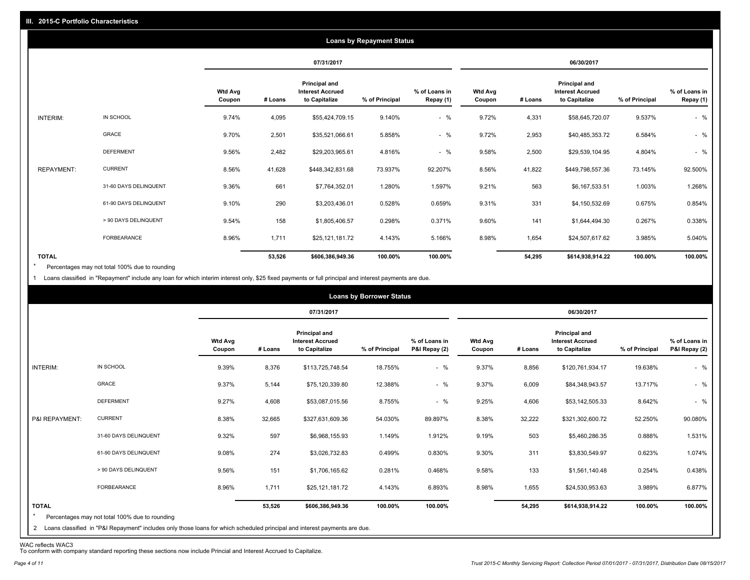|                   |                       |                          |         |                                                           | <b>Loans by Repayment Status</b> |                            |                          |         |                                                                  |                |                            |
|-------------------|-----------------------|--------------------------|---------|-----------------------------------------------------------|----------------------------------|----------------------------|--------------------------|---------|------------------------------------------------------------------|----------------|----------------------------|
|                   |                       |                          |         | 07/31/2017                                                |                                  |                            |                          |         | 06/30/2017                                                       |                |                            |
|                   |                       | <b>Wtd Avg</b><br>Coupon | # Loans | Principal and<br><b>Interest Accrued</b><br>to Capitalize | % of Principal                   | % of Loans in<br>Repay (1) | <b>Wtd Avg</b><br>Coupon | # Loans | <b>Principal and</b><br><b>Interest Accrued</b><br>to Capitalize | % of Principal | % of Loans in<br>Repay (1) |
| INTERIM:          | IN SCHOOL             | 9.74%                    | 4,095   | \$55,424,709.15                                           | 9.140%                           | $-$ %                      | 9.72%                    | 4,331   | \$58,645,720.07                                                  | 9.537%         | $-$ %                      |
|                   | GRACE                 | 9.70%                    | 2,501   | \$35,521,066.61                                           | 5.858%                           | $-$ %                      | 9.72%                    | 2,953   | \$40,485,353.72                                                  | 6.584%         | $-$ %                      |
|                   | <b>DEFERMENT</b>      | 9.56%                    | 2,482   | \$29,203,965.61                                           | 4.816%                           | $-$ %                      | 9.58%                    | 2,500   | \$29,539,104.95                                                  | 4.804%         | $-$ %                      |
| <b>REPAYMENT:</b> | <b>CURRENT</b>        | 8.56%                    | 41,628  | \$448,342,831.68                                          | 73.937%                          | 92.207%                    | 8.56%                    | 41,822  | \$449,798,557.36                                                 | 73.145%        | 92.500%                    |
|                   | 31-60 DAYS DELINQUENT | 9.36%                    | 661     | \$7,764,352.01                                            | 1.280%                           | 1.597%                     | 9.21%                    | 563     | \$6,167,533.51                                                   | 1.003%         | 1.268%                     |
|                   | 61-90 DAYS DELINQUENT | 9.10%                    | 290     | \$3,203,436.01                                            | 0.528%                           | 0.659%                     | 9.31%                    | 331     | \$4,150,532.69                                                   | 0.675%         | 0.854%                     |
|                   | > 90 DAYS DELINQUENT  | 9.54%                    | 158     | \$1,805,406.57                                            | 0.298%                           | 0.371%                     | 9.60%                    | 141     | \$1,644,494.30                                                   | 0.267%         | 0.338%                     |
|                   | <b>FORBEARANCE</b>    | 8.96%                    | 1,711   | \$25,121,181.72                                           | 4.143%                           | 5.166%                     | 8.98%                    | 1,654   | \$24,507,617.62                                                  | 3.985%         | 5.040%                     |
| <b>TOTAL</b>      |                       |                          | 53,526  | \$606,386,949.36                                          | 100.00%                          | 100.00%                    |                          | 54,295  | \$614,938,914.22                                                 | 100.00%        | 100.00%                    |

Percentages may not total 100% due to rounding \*

1 Loans classified in "Repayment" include any loan for which interim interest only, \$25 fixed payments or full principal and interest payments are due.

|                         |                                                                                                                              |                          |         |                                                                  | <b>Loans by Borrower Status</b> |                                |                          |         |                                                           |                |                                |
|-------------------------|------------------------------------------------------------------------------------------------------------------------------|--------------------------|---------|------------------------------------------------------------------|---------------------------------|--------------------------------|--------------------------|---------|-----------------------------------------------------------|----------------|--------------------------------|
|                         |                                                                                                                              |                          |         | 07/31/2017                                                       |                                 |                                |                          |         | 06/30/2017                                                |                |                                |
|                         |                                                                                                                              | <b>Wtd Avg</b><br>Coupon | # Loans | <b>Principal and</b><br><b>Interest Accrued</b><br>to Capitalize | % of Principal                  | % of Loans in<br>P&I Repay (2) | <b>Wtd Avg</b><br>Coupon | # Loans | Principal and<br><b>Interest Accrued</b><br>to Capitalize | % of Principal | % of Loans in<br>P&I Repay (2) |
| INTERIM:                | IN SCHOOL                                                                                                                    | 9.39%                    | 8,376   | \$113,725,748.54                                                 | 18.755%                         | $-$ %                          | 9.37%                    | 8,856   | \$120,761,934.17                                          | 19.638%        | $-$ %                          |
|                         | <b>GRACE</b>                                                                                                                 | 9.37%                    | 5,144   | \$75,120,339.80                                                  | 12.388%                         | $-$ %                          | 9.37%                    | 6,009   | \$84,348,943.57                                           | 13.717%        | $-$ %                          |
|                         | <b>DEFERMENT</b>                                                                                                             | 9.27%                    | 4,608   | \$53,087,015.56                                                  | 8.755%                          | $-$ %                          | 9.25%                    | 4,606   | \$53,142,505.33                                           | 8.642%         | $-$ %                          |
| P&I REPAYMENT:          | <b>CURRENT</b>                                                                                                               | 8.38%                    | 32,665  | \$327,631,609.36                                                 | 54.030%                         | 89.897%                        | 8.38%                    | 32,222  | \$321,302,600.72                                          | 52.250%        | 90.080%                        |
|                         | 31-60 DAYS DELINQUENT                                                                                                        | 9.32%                    | 597     | \$6,968,155.93                                                   | 1.149%                          | 1.912%                         | 9.19%                    | 503     | \$5,460,286.35                                            | 0.888%         | 1.531%                         |
|                         | 61-90 DAYS DELINQUENT                                                                                                        | 9.08%                    | 274     | \$3,026,732.83                                                   | 0.499%                          | 0.830%                         | 9.30%                    | 311     | \$3,830,549.97                                            | 0.623%         | 1.074%                         |
|                         | > 90 DAYS DELINQUENT                                                                                                         | 9.56%                    | 151     | \$1,706,165.62                                                   | 0.281%                          | 0.468%                         | 9.58%                    | 133     | \$1,561,140.48                                            | 0.254%         | 0.438%                         |
|                         | FORBEARANCE                                                                                                                  | 8.96%                    | 1,711   | \$25,121,181.72                                                  | 4.143%                          | 6.893%                         | 8.98%                    | 1,655   | \$24,530,953.63                                           | 3.989%         | 6.877%                         |
| <b>TOTAL</b><br>$\star$ | Percentages may not total 100% due to rounding                                                                               |                          | 53,526  | \$606,386,949.36                                                 | 100.00%                         | 100.00%                        |                          | 54,295  | \$614,938,914.22                                          | 100.00%        | 100.00%                        |
|                         | 2 Loans classified in "P&I Repayment" includes only those loans for which scheduled principal and interest payments are due. |                          |         |                                                                  |                                 |                                |                          |         |                                                           |                |                                |

WAC reflects WAC3 To conform with company standard reporting these sections now include Princial and Interest Accrued to Capitalize.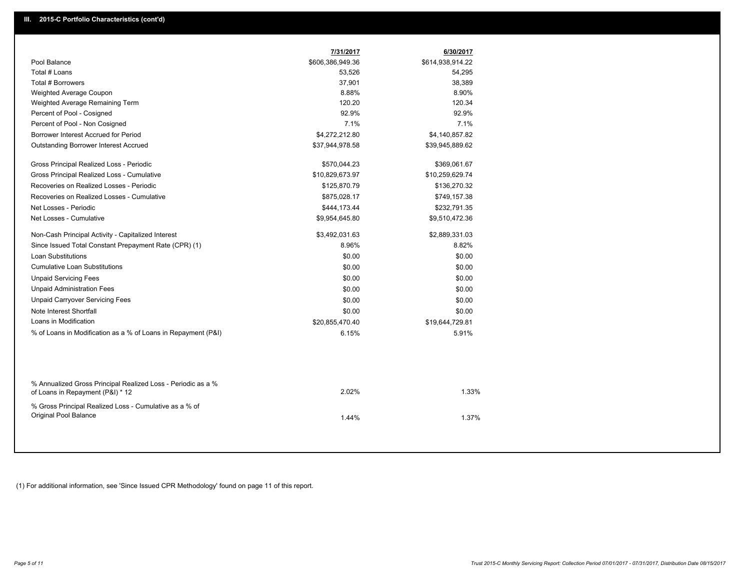|                                                                                                  | 7/31/2017        | 6/30/2017        |
|--------------------------------------------------------------------------------------------------|------------------|------------------|
| Pool Balance                                                                                     | \$606,386,949.36 | \$614,938,914.22 |
| Total # Loans                                                                                    | 53,526           | 54,295           |
| Total # Borrowers                                                                                | 37,901           | 38,389           |
| Weighted Average Coupon                                                                          | 8.88%            | 8.90%            |
| Weighted Average Remaining Term                                                                  | 120.20           | 120.34           |
| Percent of Pool - Cosigned                                                                       | 92.9%            | 92.9%            |
| Percent of Pool - Non Cosigned                                                                   | 7.1%             | 7.1%             |
| Borrower Interest Accrued for Period                                                             | \$4,272,212.80   | \$4,140,857.82   |
| <b>Outstanding Borrower Interest Accrued</b>                                                     | \$37,944,978.58  | \$39,945,889.62  |
| Gross Principal Realized Loss - Periodic                                                         | \$570,044.23     | \$369,061.67     |
| Gross Principal Realized Loss - Cumulative                                                       | \$10,829,673.97  | \$10,259,629.74  |
| Recoveries on Realized Losses - Periodic                                                         | \$125,870.79     | \$136,270.32     |
| Recoveries on Realized Losses - Cumulative                                                       | \$875,028.17     | \$749,157.38     |
| Net Losses - Periodic                                                                            | \$444,173.44     | \$232,791.35     |
| Net Losses - Cumulative                                                                          | \$9,954,645.80   | \$9,510,472.36   |
| Non-Cash Principal Activity - Capitalized Interest                                               | \$3,492,031.63   | \$2,889,331.03   |
| Since Issued Total Constant Prepayment Rate (CPR) (1)                                            | 8.96%            | 8.82%            |
| <b>Loan Substitutions</b>                                                                        | \$0.00           | \$0.00           |
| <b>Cumulative Loan Substitutions</b>                                                             | \$0.00           | \$0.00           |
| <b>Unpaid Servicing Fees</b>                                                                     | \$0.00           | \$0.00           |
| <b>Unpaid Administration Fees</b>                                                                | \$0.00           | \$0.00           |
| <b>Unpaid Carryover Servicing Fees</b>                                                           | \$0.00           | \$0.00           |
| Note Interest Shortfall                                                                          | \$0.00           | \$0.00           |
| Loans in Modification                                                                            | \$20,855,470.40  | \$19,644,729.81  |
| % of Loans in Modification as a % of Loans in Repayment (P&I)                                    | 6.15%            | 5.91%            |
|                                                                                                  |                  |                  |
| % Annualized Gross Principal Realized Loss - Periodic as a %<br>of Loans in Repayment (P&I) * 12 | 2.02%            | 1.33%            |
| % Gross Principal Realized Loss - Cumulative as a % of<br>Original Pool Balance                  | 1.44%            | 1.37%            |

(1) For additional information, see 'Since Issued CPR Methodology' found on page 11 of this report.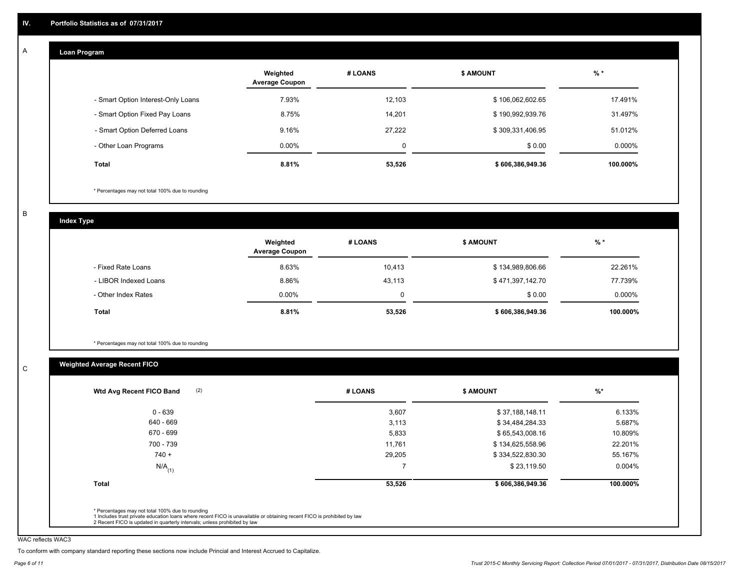#### **Loan Program**  A

|                                    | Weighted<br><b>Average Coupon</b> | # LOANS | <b>\$ AMOUNT</b> | $%$ *     |
|------------------------------------|-----------------------------------|---------|------------------|-----------|
| - Smart Option Interest-Only Loans | 7.93%                             | 12,103  | \$106,062,602.65 | 17.491%   |
| - Smart Option Fixed Pay Loans     | 8.75%                             | 14.201  | \$190,992,939.76 | 31.497%   |
| - Smart Option Deferred Loans      | 9.16%                             | 27.222  | \$309,331,406.95 | 51.012%   |
| - Other Loan Programs              | $0.00\%$                          | 0       | \$0.00           | $0.000\%$ |
| Total                              | 8.81%                             | 53,526  | \$606,386,949.36 | 100.000%  |

\* Percentages may not total 100% due to rounding

B

C

**Index Type**

|                       | Weighted<br><b>Average Coupon</b> | # LOANS | <b>\$ AMOUNT</b> | $%$ *    |
|-----------------------|-----------------------------------|---------|------------------|----------|
| - Fixed Rate Loans    | 8.63%                             | 10,413  | \$134,989,806.66 | 22.261%  |
| - LIBOR Indexed Loans | 8.86%                             | 43,113  | \$471,397,142.70 | 77.739%  |
| - Other Index Rates   | $0.00\%$                          | 0       | \$0.00           | 0.000%   |
| Total                 | 8.81%                             | 53,526  | \$606,386,949.36 | 100.000% |

\* Percentages may not total 100% due to rounding

## **Weighted Average Recent FICO**

| (2)<br>Wtd Avg Recent FICO Band | # LOANS | <b>\$ AMOUNT</b> | $\frac{9}{6}$ * |
|---------------------------------|---------|------------------|-----------------|
| $0 - 639$                       | 3,607   | \$37,188,148.11  | 6.133%          |
| 640 - 669                       | 3,113   | \$34,484,284.33  | 5.687%          |
| 670 - 699                       | 5,833   | \$65,543,008.16  | 10.809%         |
| 700 - 739                       | 11,761  | \$134,625,558.96 | 22.201%         |
| $740 +$                         | 29,205  | \$334,522,830.30 | 55.167%         |
| $N/A$ <sub>(1)</sub>            |         | \$23,119.50      | $0.004\%$       |
| <b>Total</b>                    | 53,526  | \$606,386,949.36 | 100.000%        |

WAC reflects WAC3

To conform with company standard reporting these sections now include Princial and Interest Accrued to Capitalize.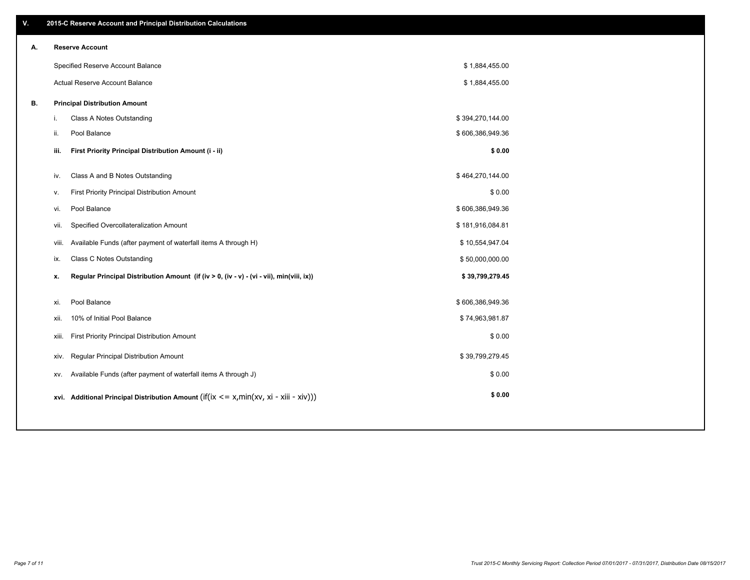| V. |      | 2015-C Reserve Account and Principal Distribution Calculations                             |                  |  |
|----|------|--------------------------------------------------------------------------------------------|------------------|--|
| А. |      | <b>Reserve Account</b>                                                                     |                  |  |
|    |      | Specified Reserve Account Balance                                                          | \$1,884,455.00   |  |
|    |      | Actual Reserve Account Balance                                                             | \$1,884,455.00   |  |
| В. |      | <b>Principal Distribution Amount</b>                                                       |                  |  |
|    | j.   | Class A Notes Outstanding                                                                  | \$394,270,144.00 |  |
|    | ii.  | Pool Balance                                                                               | \$606,386,949.36 |  |
|    | iii. | First Priority Principal Distribution Amount (i - ii)                                      | \$0.00           |  |
|    | iv.  | Class A and B Notes Outstanding                                                            | \$464,270,144.00 |  |
|    | v.   | First Priority Principal Distribution Amount                                               | \$0.00           |  |
|    | vi.  | Pool Balance                                                                               | \$606,386,949.36 |  |
|    | vii. | Specified Overcollateralization Amount                                                     | \$181,916,084.81 |  |
|    |      | Available Funds (after payment of waterfall items A through H)<br>viii.                    | \$10,554,947.04  |  |
|    | ix.  | <b>Class C Notes Outstanding</b>                                                           | \$50,000,000.00  |  |
|    | x.   | Regular Principal Distribution Amount (if (iv > 0, (iv - v) - (vi - vii), min(viii, ix))   | \$39,799,279.45  |  |
|    |      |                                                                                            |                  |  |
|    | xi.  | Pool Balance                                                                               | \$606,386,949.36 |  |
|    | xii. | 10% of Initial Pool Balance                                                                | \$74,963,981.87  |  |
|    |      | First Priority Principal Distribution Amount<br>xiii.                                      | \$0.00           |  |
|    |      | <b>Regular Principal Distribution Amount</b><br>xiv.                                       | \$39,799,279.45  |  |
|    | XV.  | Available Funds (after payment of waterfall items A through J)                             | \$0.00           |  |
|    |      | xvi. Additional Principal Distribution Amount (if(ix $\lt$ = x, min(xv, xi - xiii - xiv))) | \$0.00           |  |
|    |      |                                                                                            |                  |  |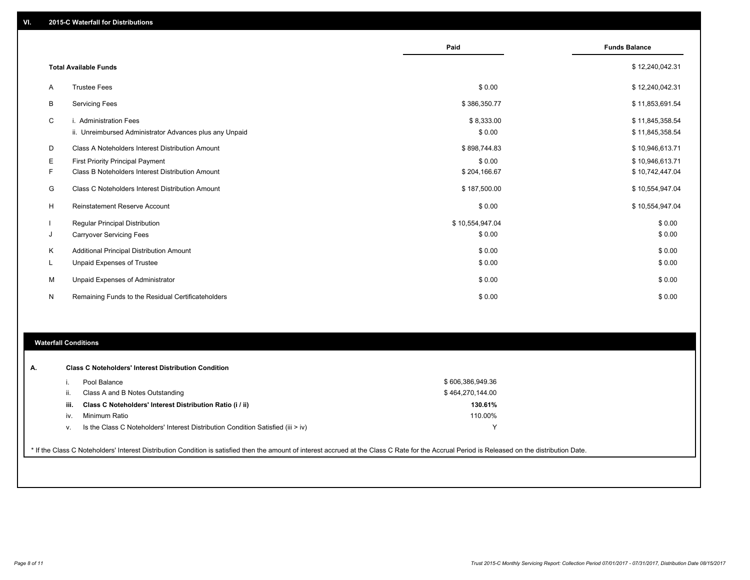|   |                                                         | Paid            | <b>Funds Balance</b> |
|---|---------------------------------------------------------|-----------------|----------------------|
|   |                                                         |                 |                      |
|   | <b>Total Available Funds</b>                            |                 | \$12,240,042.31      |
| A | <b>Trustee Fees</b>                                     | \$0.00          | \$12,240,042.31      |
| B | <b>Servicing Fees</b>                                   | \$386,350.77    | \$11,853,691.54      |
| C | i. Administration Fees                                  | \$8,333.00      | \$11,845,358.54      |
|   | ii. Unreimbursed Administrator Advances plus any Unpaid | \$0.00          | \$11,845,358.54      |
| D | Class A Noteholders Interest Distribution Amount        | \$898,744.83    | \$10,946,613.71      |
| Е | First Priority Principal Payment                        | \$0.00          | \$10,946,613.71      |
| F | Class B Noteholders Interest Distribution Amount        | \$204,166.67    | \$10,742,447.04      |
| G | Class C Noteholders Interest Distribution Amount        | \$187,500.00    | \$10,554,947.04      |
| H | <b>Reinstatement Reserve Account</b>                    | \$0.00          | \$10,554,947.04      |
|   | <b>Regular Principal Distribution</b>                   | \$10,554,947.04 | \$0.00               |
| J | <b>Carryover Servicing Fees</b>                         | \$0.00          | \$0.00               |
| Κ | Additional Principal Distribution Amount                | \$0.00          | \$0.00               |
| L | <b>Unpaid Expenses of Trustee</b>                       | \$0.00          | \$0.00               |
| M | Unpaid Expenses of Administrator                        | \$0.00          | \$0.00               |
| N | Remaining Funds to the Residual Certificateholders      | \$0.00          | \$0.00               |

#### **Waterfall Conditions**

|      | Pool Balance                                                                     | \$606,386,949.36 |  |
|------|----------------------------------------------------------------------------------|------------------|--|
| Ш.   | Class A and B Notes Outstanding                                                  | \$464,270,144.00 |  |
| iii. | Class C Noteholders' Interest Distribution Ratio (i / ii)                        | 130.61%          |  |
| iv.  | Minimum Ratio                                                                    | 110.00%          |  |
| V.   | Is the Class C Noteholders' Interest Distribution Condition Satisfied (iii > iv) | $\check{ }$      |  |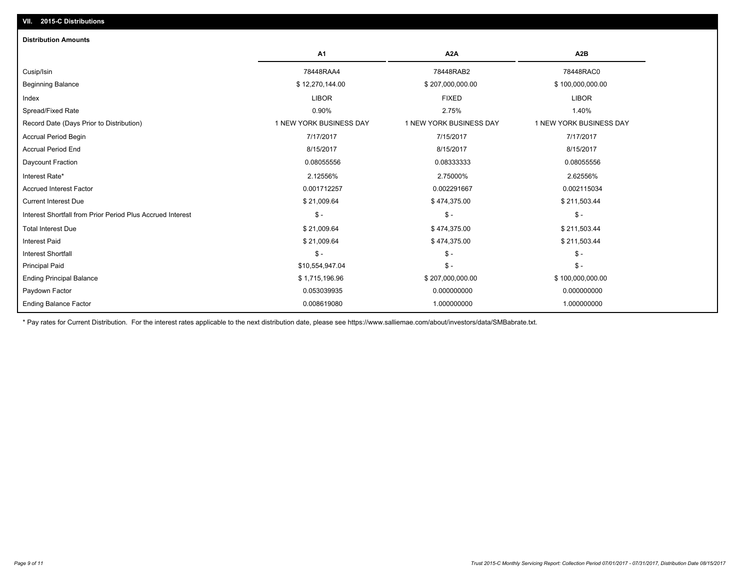| <b>Distribution Amounts</b>                                |                         |                         |                         |
|------------------------------------------------------------|-------------------------|-------------------------|-------------------------|
|                                                            | A1                      | A2A                     | A2B                     |
| Cusip/Isin                                                 | 78448RAA4               | 78448RAB2               | 78448RAC0               |
| <b>Beginning Balance</b>                                   | \$12,270,144.00         | \$207,000,000.00        | \$100,000,000.00        |
| Index                                                      | <b>LIBOR</b>            | <b>FIXED</b>            | <b>LIBOR</b>            |
| Spread/Fixed Rate                                          | 0.90%                   | 2.75%                   | 1.40%                   |
| Record Date (Days Prior to Distribution)                   | 1 NEW YORK BUSINESS DAY | 1 NEW YORK BUSINESS DAY | 1 NEW YORK BUSINESS DAY |
| <b>Accrual Period Begin</b>                                | 7/17/2017               | 7/15/2017               | 7/17/2017               |
| <b>Accrual Period End</b>                                  | 8/15/2017               | 8/15/2017               | 8/15/2017               |
| Daycount Fraction                                          | 0.08055556              | 0.08333333              | 0.08055556              |
| Interest Rate*                                             | 2.12556%                | 2.75000%                | 2.62556%                |
| <b>Accrued Interest Factor</b>                             | 0.001712257             | 0.002291667             | 0.002115034             |
| <b>Current Interest Due</b>                                | \$21,009.64             | \$474,375.00            | \$211,503.44            |
| Interest Shortfall from Prior Period Plus Accrued Interest | $S -$                   | $\mathsf{\$}$ -         | $\mathsf{\$}$ -         |
| <b>Total Interest Due</b>                                  | \$21,009.64             | \$474,375.00            | \$211,503.44            |
| <b>Interest Paid</b>                                       | \$21,009.64             | \$474,375.00            | \$211,503.44            |
| <b>Interest Shortfall</b>                                  | $$ -$                   | $\mathsf{\$}$ -         | $\mathsf{\$}$ .         |
| <b>Principal Paid</b>                                      | \$10,554,947.04         | $\mathsf{\$}$ -         | $S -$                   |
| <b>Ending Principal Balance</b>                            | \$1,715,196.96          | \$207,000,000.00        | \$100,000,000.00        |
| Paydown Factor                                             | 0.053039935             | 0.000000000             | 0.000000000             |
| <b>Ending Balance Factor</b>                               | 0.008619080             | 1.000000000             | 1.000000000             |

\* Pay rates for Current Distribution. For the interest rates applicable to the next distribution date, please see https://www.salliemae.com/about/investors/data/SMBabrate.txt.

**VII. 2015-C Distributions**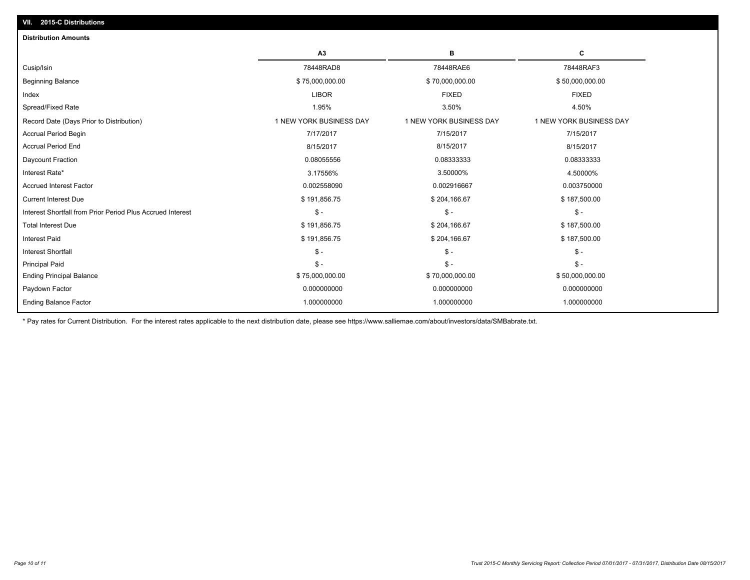| A3<br>в<br>С<br>78448RAD8<br>78448RAE6<br>78448RAF3<br>Cusip/Isin<br><b>Beginning Balance</b><br>\$50,000,000.00<br>\$75,000,000.00<br>\$70,000,000.00<br><b>LIBOR</b><br><b>FIXED</b><br><b>FIXED</b><br>Index<br>Spread/Fixed Rate<br>3.50%<br>4.50%<br>1.95%<br>1 NEW YORK BUSINESS DAY<br>1 NEW YORK BUSINESS DAY<br>1 NEW YORK BUSINESS DAY<br>Record Date (Days Prior to Distribution)<br><b>Accrual Period Begin</b><br>7/17/2017<br>7/15/2017<br>7/15/2017<br><b>Accrual Period End</b><br>8/15/2017<br>8/15/2017<br>8/15/2017 |  |
|----------------------------------------------------------------------------------------------------------------------------------------------------------------------------------------------------------------------------------------------------------------------------------------------------------------------------------------------------------------------------------------------------------------------------------------------------------------------------------------------------------------------------------------|--|
|                                                                                                                                                                                                                                                                                                                                                                                                                                                                                                                                        |  |
|                                                                                                                                                                                                                                                                                                                                                                                                                                                                                                                                        |  |
|                                                                                                                                                                                                                                                                                                                                                                                                                                                                                                                                        |  |
|                                                                                                                                                                                                                                                                                                                                                                                                                                                                                                                                        |  |
|                                                                                                                                                                                                                                                                                                                                                                                                                                                                                                                                        |  |
|                                                                                                                                                                                                                                                                                                                                                                                                                                                                                                                                        |  |
|                                                                                                                                                                                                                                                                                                                                                                                                                                                                                                                                        |  |
|                                                                                                                                                                                                                                                                                                                                                                                                                                                                                                                                        |  |
| Daycount Fraction<br>0.08055556<br>0.08333333<br>0.08333333                                                                                                                                                                                                                                                                                                                                                                                                                                                                            |  |
| Interest Rate*<br>3.17556%<br>3.50000%<br>4.50000%                                                                                                                                                                                                                                                                                                                                                                                                                                                                                     |  |
| <b>Accrued Interest Factor</b><br>0.002558090<br>0.002916667<br>0.003750000                                                                                                                                                                                                                                                                                                                                                                                                                                                            |  |
| <b>Current Interest Due</b><br>\$191,856.75<br>\$204,166.67<br>\$187,500.00                                                                                                                                                                                                                                                                                                                                                                                                                                                            |  |
| Interest Shortfall from Prior Period Plus Accrued Interest<br>$\mathsf{\$}$ -<br>$\mathsf{\$}$ -<br>$\mathbb{S}$ -                                                                                                                                                                                                                                                                                                                                                                                                                     |  |
| <b>Total Interest Due</b><br>\$191,856.75<br>\$187,500.00<br>\$204,166.67                                                                                                                                                                                                                                                                                                                                                                                                                                                              |  |
| <b>Interest Paid</b><br>\$191,856.75<br>\$204,166.67<br>\$187,500.00                                                                                                                                                                                                                                                                                                                                                                                                                                                                   |  |
| $\mathsf{\$}$ -<br>$\mathcal{S}$ -<br>$\mathsf{\$}$ -<br><b>Interest Shortfall</b>                                                                                                                                                                                                                                                                                                                                                                                                                                                     |  |
| $\mathsf{\$}$ -<br>$S -$<br>$\mathsf{\$}$ -<br><b>Principal Paid</b>                                                                                                                                                                                                                                                                                                                                                                                                                                                                   |  |
| \$75,000,000.00<br>\$50,000,000.00<br><b>Ending Principal Balance</b><br>\$70,000,000.00                                                                                                                                                                                                                                                                                                                                                                                                                                               |  |
| 0.000000000<br>0.000000000<br>0.000000000<br>Paydown Factor                                                                                                                                                                                                                                                                                                                                                                                                                                                                            |  |
| <b>Ending Balance Factor</b><br>1.000000000<br>1.000000000<br>1.000000000                                                                                                                                                                                                                                                                                                                                                                                                                                                              |  |

\* Pay rates for Current Distribution. For the interest rates applicable to the next distribution date, please see https://www.salliemae.com/about/investors/data/SMBabrate.txt.

**VII. 2015-C Distributions**